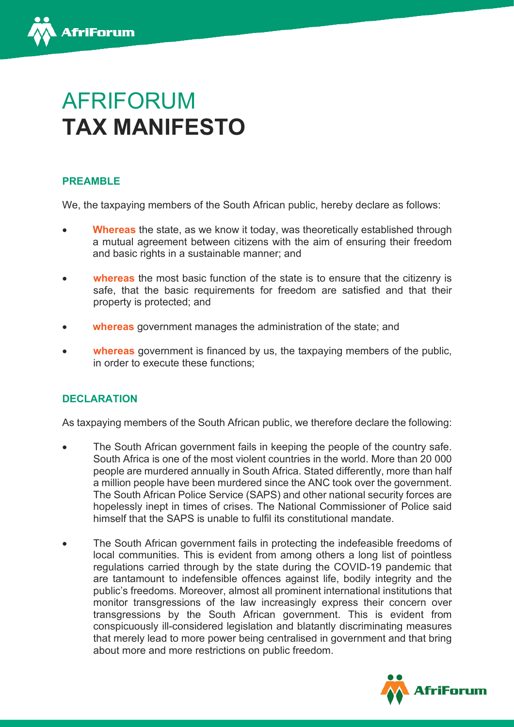

# AFRIFORUM **TAX MANIFESTO**

## **PREAMBLE**

We, the taxpaying members of the South African public, hereby declare as follows:

- **Whereas** the state, as we know it today, was theoretically established through a mutual agreement between citizens with the aim of ensuring their freedom and basic rights in a sustainable manner; and
- **whereas** the most basic function of the state is to ensure that the citizenry is safe, that the basic requirements for freedom are satisfied and that their property is protected; and
- **whereas** government manages the administration of the state; and
- **whereas** government is financed by us, the taxpaying members of the public, in order to execute these functions;

## **DECLARATION**

As taxpaying members of the South African public, we therefore declare the following:

- The South African government fails in keeping the people of the country safe. South Africa is one of the most violent countries in the world. More than 20 000 people are murdered annually in South Africa. Stated differently, more than half a million people have been murdered since the ANC took over the government. The South African Police Service (SAPS) and other national security forces are hopelessly inept in times of crises. The National Commissioner of Police said himself that the SAPS is unable to fulfil its constitutional mandate.
- The South African government fails in protecting the indefeasible freedoms of local communities. This is evident from among others a long list of pointless regulations carried through by the state during the COVID-19 pandemic that are tantamount to indefensible offences against life, bodily integrity and the public's freedoms. Moreover, almost all prominent international institutions that monitor transgressions of the law increasingly express their concern over transgressions by the South African government. This is evident from conspicuously ill-considered legislation and blatantly discriminating measures that merely lead to more power being centralised in government and that bring about more and more restrictions on public freedom.

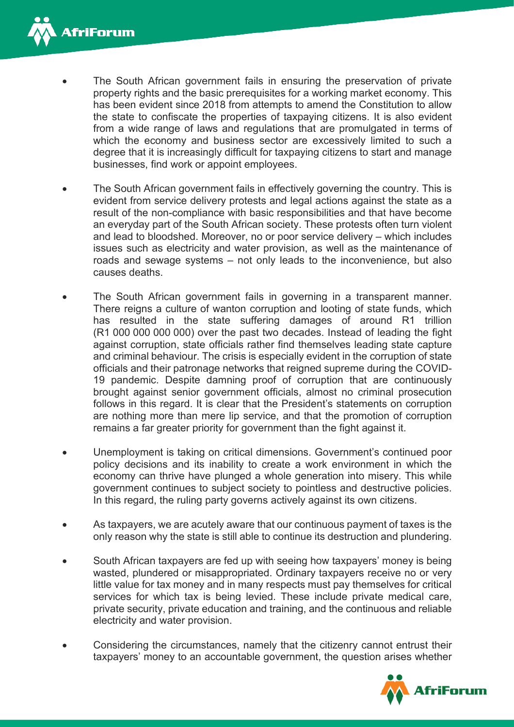

- The South African government fails in ensuring the preservation of private property rights and the basic prerequisites for a working market economy. This has been evident since 2018 from attempts to amend the Constitution to allow the state to confiscate the properties of taxpaying citizens. It is also evident from a wide range of laws and regulations that are promulgated in terms of which the economy and business sector are excessively limited to such a degree that it is increasingly difficult for taxpaying citizens to start and manage businesses, find work or appoint employees.
- The South African government fails in effectively governing the country. This is evident from service delivery protests and legal actions against the state as a result of the non-compliance with basic responsibilities and that have become an everyday part of the South African society. These protests often turn violent and lead to bloodshed. Moreover, no or poor service delivery – which includes issues such as electricity and water provision, as well as the maintenance of roads and sewage systems – not only leads to the inconvenience, but also causes deaths.
- The South African government fails in governing in a transparent manner. There reigns a culture of wanton corruption and looting of state funds, which has resulted in the state suffering damages of around R1 trillion (R1 000 000 000 000) over the past two decades. Instead of leading the fight against corruption, state officials rather find themselves leading state capture and criminal behaviour. The crisis is especially evident in the corruption of state officials and their patronage networks that reigned supreme during the COVID-19 pandemic. Despite damning proof of corruption that are continuously brought against senior government officials, almost no criminal prosecution follows in this regard. It is clear that the President's statements on corruption are nothing more than mere lip service, and that the promotion of corruption remains a far greater priority for government than the fight against it.
- Unemployment is taking on critical dimensions. Government's continued poor policy decisions and its inability to create a work environment in which the economy can thrive have plunged a whole generation into misery. This while government continues to subject society to pointless and destructive policies. In this regard, the ruling party governs actively against its own citizens.
- As taxpayers, we are acutely aware that our continuous payment of taxes is the only reason why the state is still able to continue its destruction and plundering.
- South African taxpayers are fed up with seeing how taxpayers' money is being wasted, plundered or misappropriated. Ordinary taxpayers receive no or very little value for tax money and in many respects must pay themselves for critical services for which tax is being levied. These include private medical care, private security, private education and training, and the continuous and reliable electricity and water provision.
- Considering the circumstances, namely that the citizenry cannot entrust their taxpayers' money to an accountable government, the question arises whether

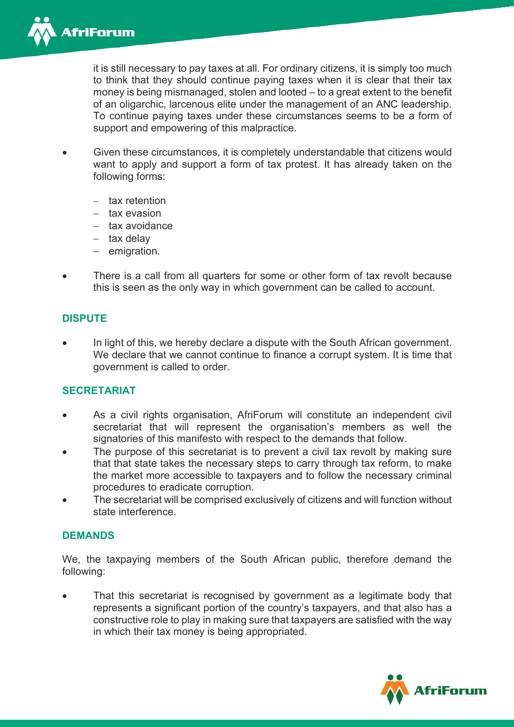

it is still necessary to pay taxes at all. For ordinary citizens, it is simply too much to think that they should continue paying taxes when it is clear that their tax money is being mismanaged, stolen and looted – to a great extent to the benefit of an oligarchic, larcenous elite under the management of an ANC leadership. To continue paying taxes under these circumstances seems to be a form of support and empowering of this malpractice.

- Given these circumstances, it is completely understandable that citizens would want to apply and support a form of tax protest. It has already taken on the following forms:
	- − tax retention
	- − tax evasion
	- − tax avoidance
	- − tax delay
	- − emigration.
- There is a call from all quarters for some or other form of tax revolt because this is seen as the only way in which government can be called to account.

#### **DISPUTE**

In light of this, we hereby declare a dispute with the South African government. We declare that we cannot continue to finance a corrupt system. It is time that government is called to order.

#### **SECRETARIAT**

- As a civil rights organisation, AfriForum will constitute an independent civil secretariat that will represent the organisation's members as well the signatories of this manifesto with respect to the demands that follow.
- The purpose of this secretariat is to prevent a civil tax revolt by making sure that that state takes the necessary steps to carry through tax reform, to make the market more accessible to taxpayers and to follow the necessary criminal procedures to eradicate corruption.
- The secretariat will be comprised exclusively of citizens and will function without state interference.

#### **DEMANDS**

We, the taxpaying members of the South African public, therefore demand the following:

That this secretariat is recognised by government as a legitimate body that represents a significant portion of the country's taxpayers, and that also has a constructive role to play in making sure that taxpayers are satisfied with the way in which their tax money is being appropriated.